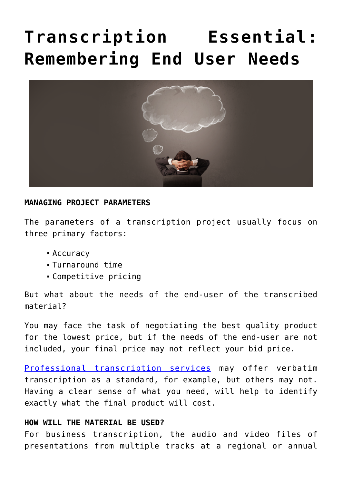## **[Transcription Essential:](https://www.voxtab.com/transcription-blog/transcription-essential-remembering-end-user-needs/) [Remembering End User Needs](https://www.voxtab.com/transcription-blog/transcription-essential-remembering-end-user-needs/)**



## **MANAGING PROJECT PARAMETERS**

The parameters of a transcription project usually focus on three primary factors:

- Accuracy
- Turnaround time
- Competitive pricing

But what about the needs of the end-user of the transcribed material?

You may face the task of negotiating the best quality product for the lowest price, but if the needs of the end-user are not included, your final price may not reflect your bid price.

[Professional transcription services](https://www.voxtab.com/transcription-services.htm) may offer verbatim transcription as a standard, for example, but others may not. Having a clear sense of what you need, will help to identify exactly what the final product will cost.

## **HOW WILL THE MATERIAL BE USED?**

For business transcription, the audio and video files of presentations from multiple tracks at a regional or annual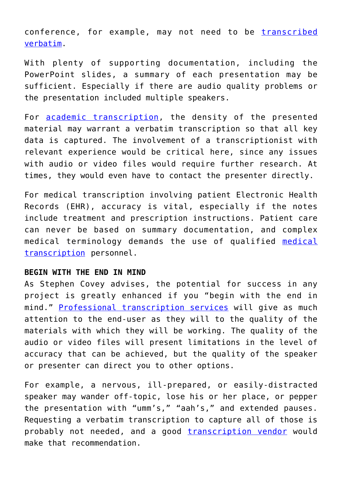conference, for example, may not need to be [transcribed](https://www.voxtab.com/verbatim-transcription-services.htm) [verbatim.](https://www.voxtab.com/verbatim-transcription-services.htm)

With plenty of supporting documentation, including the PowerPoint slides, a summary of each presentation may be sufficient. Especially if there are audio quality problems or the presentation included multiple speakers.

For [academic transcription,](https://www.voxtab.com/academic-transcription.htm) the density of the presented material may warrant a verbatim transcription so that all key data is captured. The involvement of a transcriptionist with relevant experience would be critical here, since any issues with audio or video files would require further research. At times, they would even have to contact the presenter directly.

For medical transcription involving patient Electronic Health Records (EHR), accuracy is vital, especially if the notes include treatment and prescription instructions. Patient care can never be based on summary documentation, and complex medical terminology demands the use of qualified [medical](https://www.voxtab.com/medical-transcription.htm) [transcription](https://www.voxtab.com/medical-transcription.htm) personnel.

## **BEGIN WITH THE END IN MIND**

As Stephen Covey advises, the potential for success in any project is greatly enhanced if you "begin with the end in mind." [Professional transcription services](https://www.voxtab.com/transcription-services.htm) will give as much attention to the end-user as they will to the quality of the materials with which they will be working. The quality of the audio or video files will present limitations in the level of accuracy that can be achieved, but the quality of the speaker or presenter can direct you to other options.

For example, a nervous, ill-prepared, or easily-distracted speaker may wander off-topic, lose his or her place, or pepper the presentation with "umm's," "aah's," and extended pauses. Requesting a verbatim transcription to capture all of those is probably not needed, and a good [transcription vendor](https://www.voxtab.com) would make that recommendation.